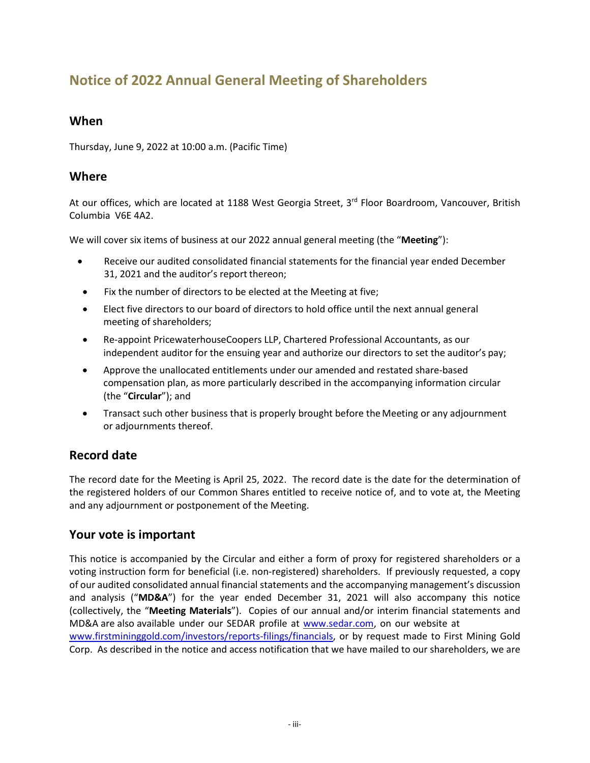# **Notice of 2022 Annual General Meeting of Shareholders**

### **When**

Thursday, June 9, 2022 at 10:00 a.m. (Pacific Time)

### **Where**

At our offices, which are located at 1188 West Georgia Street, 3<sup>rd</sup> Floor Boardroom, Vancouver, British Columbia V6E 4A2.

We will cover six items of business at our 2022 annual general meeting (the "**Meeting**"):

- Receive our audited consolidated financial statements for the financial year ended December 31, 2021 and the auditor's report thereon;
- Fix the number of directors to be elected at the Meeting at five;
- Elect five directors to our board of directors to hold office until the next annual general meeting of shareholders;
- Re-appoint PricewaterhouseCoopers LLP, Chartered Professional Accountants, as our independent auditor for the ensuing year and authorize our directors to set the auditor's pay;
- Approve the unallocated entitlements under our amended and restated share-based compensation plan, as more particularly described in the accompanying information circular (the "**Circular**"); and
- Transact such other business that is properly brought before the Meeting or any adjournment or adjournments thereof.

# **Record date**

The record date for the Meeting is April 25, 2022. The record date is the date for the determination of the registered holders of our Common Shares entitled to receive notice of, and to vote at, the Meeting and any adjournment or postponement of the Meeting.

# **Your vote is important**

This notice is accompanied by the Circular and either a form of proxy for registered shareholders or a voting instruction form for beneficial (i.e. non-registered) shareholders. If previously requested, a copy of our audited consolidated annual financial statements and the accompanying management's discussion and analysis ("**MD&A**") for the year ended December 31, 2021 will also accompany this notice (collectively, the "**Meeting Materials**"). Copies of our annual and/or interim financial statements and MD&A are also available under our SEDAR profile at [www.sedar.com,](http://www.sedar.com/) on our website at [www.firstmininggold.com/investors/reports-filings/financials,](http://www.firstmininggold.com/investors/reports-filings/financials) or by request made to First Mining Gold Corp. As described in the notice and access notification that we have mailed to our shareholders, we are